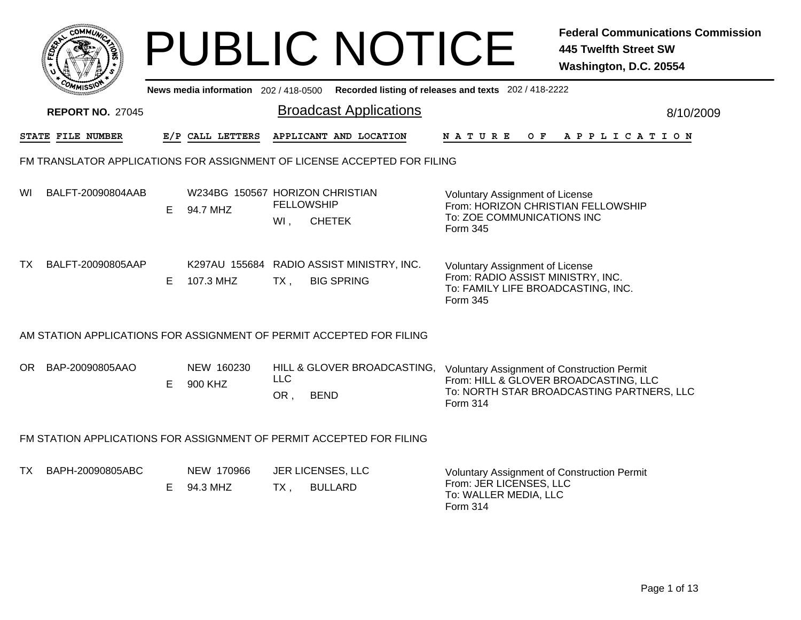|     |                         |    |                                             |                          | <b>PUBLIC NOTICE</b>                                                     |                                                                                                                               | <b>Federal Communications Commission</b><br>445 Twelfth Street SW<br>Washington, D.C. 20554 |
|-----|-------------------------|----|---------------------------------------------|--------------------------|--------------------------------------------------------------------------|-------------------------------------------------------------------------------------------------------------------------------|---------------------------------------------------------------------------------------------|
|     |                         |    | News media information 202 / 418-0500       |                          |                                                                          | Recorded listing of releases and texts 202 / 418-2222                                                                         |                                                                                             |
|     | <b>REPORT NO. 27045</b> |    |                                             |                          | <b>Broadcast Applications</b>                                            |                                                                                                                               | 8/10/2009                                                                                   |
|     | STATE FILE NUMBER       |    | E/P CALL LETTERS                            |                          | APPLICANT AND LOCATION                                                   | N A T U R E<br>O F                                                                                                            | A P P L I C A T I O N                                                                       |
|     |                         |    |                                             |                          | FM TRANSLATOR APPLICATIONS FOR ASSIGNMENT OF LICENSE ACCEPTED FOR FILING |                                                                                                                               |                                                                                             |
| WI  | BALFT-20090804AAB       | E. | W234BG 150567 HORIZON CHRISTIAN<br>94.7 MHZ | <b>FELLOWSHIP</b><br>Wl, | <b>CHETEK</b>                                                            | <b>Voluntary Assignment of License</b><br>From: HORIZON CHRISTIAN FELLOWSHIP<br>To: ZOE COMMUNICATIONS INC<br>Form 345        |                                                                                             |
| TX. | BALFT-20090805AAP       | E. | 107.3 MHZ                                   | $TX$ ,                   | K297AU 155684 RADIO ASSIST MINISTRY, INC.<br><b>BIG SPRING</b>           | <b>Voluntary Assignment of License</b><br>From: RADIO ASSIST MINISTRY, INC.<br>To: FAMILY LIFE BROADCASTING, INC.<br>Form 345 |                                                                                             |
|     |                         |    |                                             |                          | AM STATION APPLICATIONS FOR ASSIGNMENT OF PERMIT ACCEPTED FOR FILING     |                                                                                                                               |                                                                                             |
|     | OR BAP-20090805AAO      | E. | NEW 160230<br>900 KHZ                       | <b>LLC</b><br>OR,        | HILL & GLOVER BROADCASTING,<br><b>BEND</b>                               | <b>Voluntary Assignment of Construction Permit</b><br>From: HILL & GLOVER BROADCASTING, LLC<br>Form 314                       | To: NORTH STAR BROADCASTING PARTNERS, LLC                                                   |
|     |                         |    |                                             |                          | FM STATION APPLICATIONS FOR ASSIGNMENT OF PERMIT ACCEPTED FOR FILING     |                                                                                                                               |                                                                                             |
| TX. | BAPH-20090805ABC        |    | NEW 170966<br>E 94.3 MHZ                    | TX ,                     | JER LICENSES, LLC<br><b>BULLARD</b>                                      | Voluntary Assignment of Construction Permit<br>From: JER LICENSES, LLC<br>To: WALLER MEDIA, LLC                               |                                                                                             |

Form 314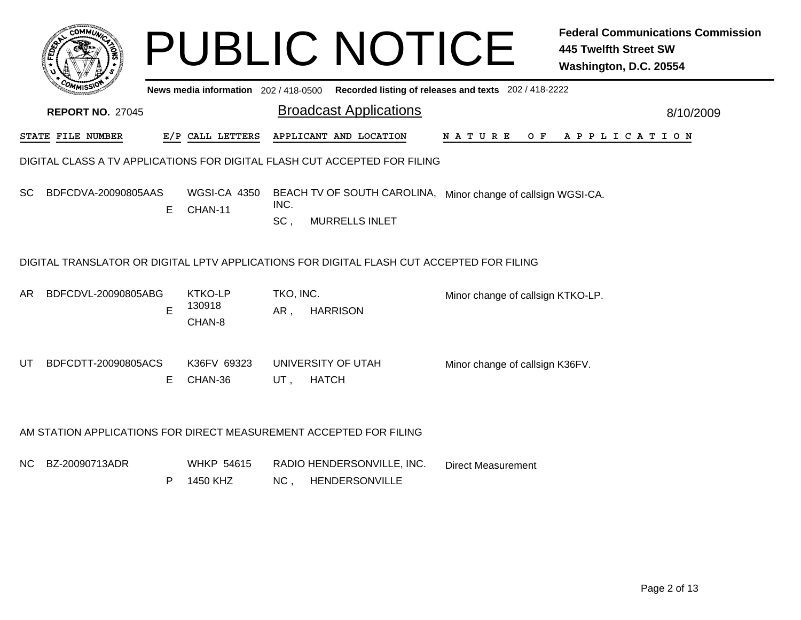|     | $\overline{\text{c}}$ OMM $\overline{\text{u}}$                           |   |                                     |                  | <b>PUBLIC NOTICE</b>                                                                      |                                                       | <b>Federal Communications Commission</b><br><b>445 Twelfth Street SW</b><br>Washington, D.C. 20554 |  |  |  |  |  |
|-----|---------------------------------------------------------------------------|---|-------------------------------------|------------------|-------------------------------------------------------------------------------------------|-------------------------------------------------------|----------------------------------------------------------------------------------------------------|--|--|--|--|--|
|     |                                                                           |   | News media information 202/418-0500 |                  |                                                                                           | Recorded listing of releases and texts 202 / 418-2222 |                                                                                                    |  |  |  |  |  |
|     | <b>REPORT NO. 27045</b>                                                   |   |                                     |                  | <b>Broadcast Applications</b>                                                             |                                                       | 8/10/2009                                                                                          |  |  |  |  |  |
|     | STATE FILE NUMBER                                                         |   | E/P CALL LETTERS                    |                  | APPLICANT AND LOCATION                                                                    | N A T U R E<br>O F                                    | A P P L I C A T I O N                                                                              |  |  |  |  |  |
|     | DIGITAL CLASS A TV APPLICATIONS FOR DIGITAL FLASH CUT ACCEPTED FOR FILING |   |                                     |                  |                                                                                           |                                                       |                                                                                                    |  |  |  |  |  |
| SC. | BDFCDVA-20090805AAS                                                       | Е | WGSI-CA 4350<br>CHAN-11             | INC.<br>SC.      | BEACH TV OF SOUTH CAROLINA, Minor change of callsign WGSI-CA.<br><b>MURRELLS INLET</b>    |                                                       |                                                                                                    |  |  |  |  |  |
|     |                                                                           |   |                                     |                  | DIGITAL TRANSLATOR OR DIGITAL LPTV APPLICATIONS FOR DIGITAL FLASH CUT ACCEPTED FOR FILING |                                                       |                                                                                                    |  |  |  |  |  |
| AR. | BDFCDVL-20090805ABG                                                       | E | <b>KTKO-LP</b><br>130918<br>CHAN-8  | TKO, INC.<br>AR, | <b>HARRISON</b>                                                                           | Minor change of callsign KTKO-LP.                     |                                                                                                    |  |  |  |  |  |
| UT  | BDFCDTT-20090805ACS                                                       | Е | K36FV 69323<br>CHAN-36              | UT,              | UNIVERSITY OF UTAH<br><b>HATCH</b>                                                        | Minor change of callsign K36FV.                       |                                                                                                    |  |  |  |  |  |
|     | AM STATION APPLICATIONS FOR DIRECT MEASUREMENT ACCEPTED FOR FILING        |   |                                     |                  |                                                                                           |                                                       |                                                                                                    |  |  |  |  |  |
| NC. | BZ-20090713ADR                                                            | P | <b>WHKP 54615</b><br>1450 KHZ       | NC,              | RADIO HENDERSONVILLE, INC.<br>HENDERSONVILLE                                              | <b>Direct Measurement</b>                             |                                                                                                    |  |  |  |  |  |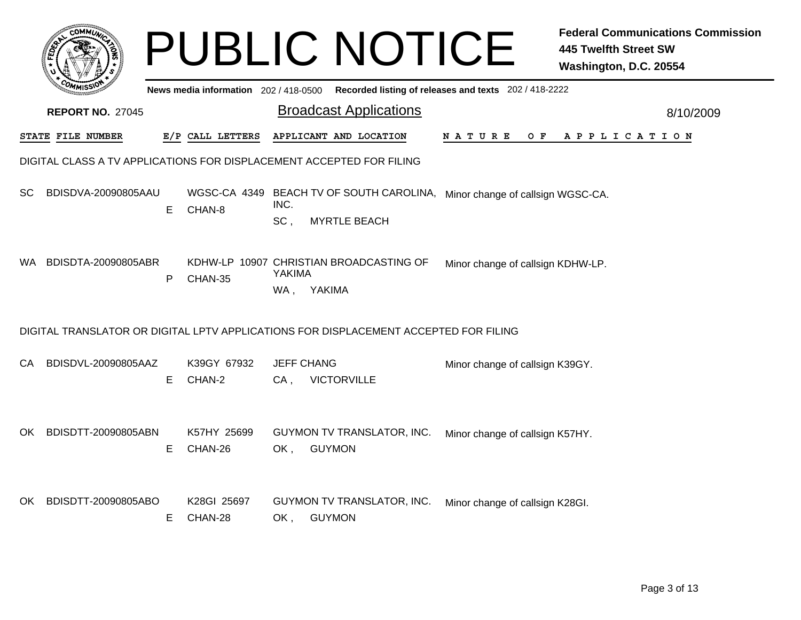|      | сомми                                                                |    |                                       |                          | <b>PUBLIC NOTICE</b>                                                                              |                                                       | <b>Federal Communications Commission</b><br><b>445 Twelfth Street SW</b><br>Washington, D.C. 20554 |  |  |  |  |  |
|------|----------------------------------------------------------------------|----|---------------------------------------|--------------------------|---------------------------------------------------------------------------------------------------|-------------------------------------------------------|----------------------------------------------------------------------------------------------------|--|--|--|--|--|
|      |                                                                      |    | News media information 202 / 418-0500 |                          |                                                                                                   | Recorded listing of releases and texts 202 / 418-2222 |                                                                                                    |  |  |  |  |  |
|      | <b>REPORT NO. 27045</b>                                              |    |                                       |                          | <b>Broadcast Applications</b>                                                                     |                                                       | 8/10/2009                                                                                          |  |  |  |  |  |
|      | STATE FILE NUMBER                                                    |    | E/P CALL LETTERS                      |                          | APPLICANT AND LOCATION                                                                            | N A T U R E<br>O F                                    | A P P L I C A T I O N                                                                              |  |  |  |  |  |
|      | DIGITAL CLASS A TV APPLICATIONS FOR DISPLACEMENT ACCEPTED FOR FILING |    |                                       |                          |                                                                                                   |                                                       |                                                                                                    |  |  |  |  |  |
| SC.  | BDISDVA-20090805AAU                                                  | E  | CHAN-8                                | INC.<br>SC,              | WGSC-CA 4349 BEACH TV OF SOUTH CAROLINA, Minor change of callsign WGSC-CA.<br><b>MYRTLE BEACH</b> |                                                       |                                                                                                    |  |  |  |  |  |
| WA.  | BDISDTA-20090805ABR                                                  | P  | CHAN-35                               | YAKIMA<br>WA,            | KDHW-LP 10907 CHRISTIAN BROADCASTING OF<br>YAKIMA                                                 | Minor change of callsign KDHW-LP.                     |                                                                                                    |  |  |  |  |  |
|      |                                                                      |    |                                       |                          | DIGITAL TRANSLATOR OR DIGITAL LPTV APPLICATIONS FOR DISPLACEMENT ACCEPTED FOR FILING              |                                                       |                                                                                                    |  |  |  |  |  |
| CA.  | BDISDVL-20090805AAZ                                                  | E. | K39GY 67932<br>CHAN-2                 | <b>JEFF CHANG</b><br>CA, | <b>VICTORVILLE</b>                                                                                | Minor change of callsign K39GY.                       |                                                                                                    |  |  |  |  |  |
| OK . | BDISDTT-20090805ABN                                                  | E. | K57HY 25699<br>CHAN-26                | OK,                      | GUYMON TV TRANSLATOR, INC.<br><b>GUYMON</b>                                                       | Minor change of callsign K57HY.                       |                                                                                                    |  |  |  |  |  |
| OK   | BDISDTT-20090805ABO                                                  | E. | K28GI 25697<br>CHAN-28                | OK .                     | GUYMON TV TRANSLATOR, INC.<br><b>GUYMON</b>                                                       | Minor change of callsign K28GI.                       |                                                                                                    |  |  |  |  |  |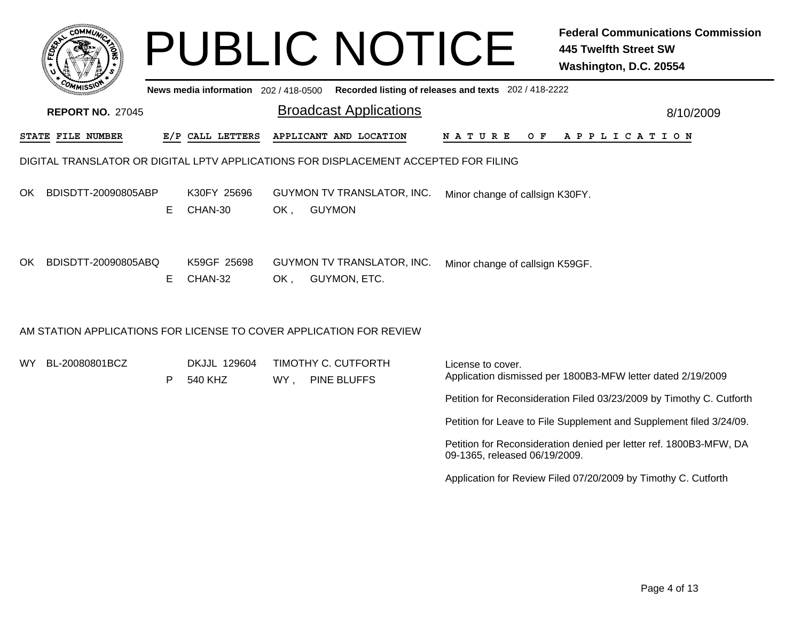| <b>COMMU</b>                                                                         |    |                                       |     | <b>PUBLIC NOTICE</b>                        |                                                       | <b>Federal Communications Commission</b><br><b>445 Twelfth Street SW</b><br>Washington, D.C. 20554 |  |  |  |  |  |  |
|--------------------------------------------------------------------------------------|----|---------------------------------------|-----|---------------------------------------------|-------------------------------------------------------|----------------------------------------------------------------------------------------------------|--|--|--|--|--|--|
|                                                                                      |    | News media information 202 / 418-0500 |     |                                             | Recorded listing of releases and texts 202 / 418-2222 |                                                                                                    |  |  |  |  |  |  |
| <b>REPORT NO. 27045</b>                                                              |    |                                       |     | <b>Broadcast Applications</b>               |                                                       | 8/10/2009                                                                                          |  |  |  |  |  |  |
| STATE FILE NUMBER                                                                    |    | E/P CALL LETTERS                      |     | APPLICANT AND LOCATION                      | N A T U R E<br>O F                                    | A P P L I C A T I O N                                                                              |  |  |  |  |  |  |
| DIGITAL TRANSLATOR OR DIGITAL LPTV APPLICATIONS FOR DISPLACEMENT ACCEPTED FOR FILING |    |                                       |     |                                             |                                                       |                                                                                                    |  |  |  |  |  |  |
| BDISDTT-20090805ABP<br>OK.                                                           | E. | K30FY 25696<br>CHAN-30                | OK, | GUYMON TV TRANSLATOR, INC.<br><b>GUYMON</b> | Minor change of callsign K30FY.                       |                                                                                                    |  |  |  |  |  |  |
| BDISDTT-20090805ABQ<br>OK.                                                           | Е  | K59GF 25698<br>CHAN-32                | OK, | GUYMON TV TRANSLATOR, INC.<br>GUYMON, ETC.  | Minor change of callsign K59GF.                       |                                                                                                    |  |  |  |  |  |  |
| AM STATION APPLICATIONS FOR LICENSE TO COVER APPLICATION FOR REVIEW                  |    |                                       |     |                                             |                                                       |                                                                                                    |  |  |  |  |  |  |
| BL-20080801BCZ<br>WY.                                                                | P  | DKJJL 129604<br>540 KHZ               | WY, | TIMOTHY C. CUTFORTH<br><b>PINE BLUFFS</b>   | License to cover.                                     | Application dismissed per 1800B3-MFW letter dated 2/19/2009                                        |  |  |  |  |  |  |
|                                                                                      |    |                                       |     |                                             |                                                       | Petition for Reconsideration Filed 03/23/2009 by Timothy C. Cutforth                               |  |  |  |  |  |  |
|                                                                                      |    |                                       |     |                                             |                                                       | Petition for Leave to File Supplement and Supplement filed 3/24/09.                                |  |  |  |  |  |  |
|                                                                                      |    |                                       |     |                                             | 09-1365, released 06/19/2009.                         | Petition for Reconsideration denied per letter ref. 1800B3-MFW, DA                                 |  |  |  |  |  |  |
|                                                                                      |    |                                       |     |                                             |                                                       | Application for Review Filed 07/20/2009 by Timothy C. Cutforth                                     |  |  |  |  |  |  |
|                                                                                      |    |                                       |     |                                             |                                                       |                                                                                                    |  |  |  |  |  |  |
|                                                                                      |    |                                       |     |                                             |                                                       |                                                                                                    |  |  |  |  |  |  |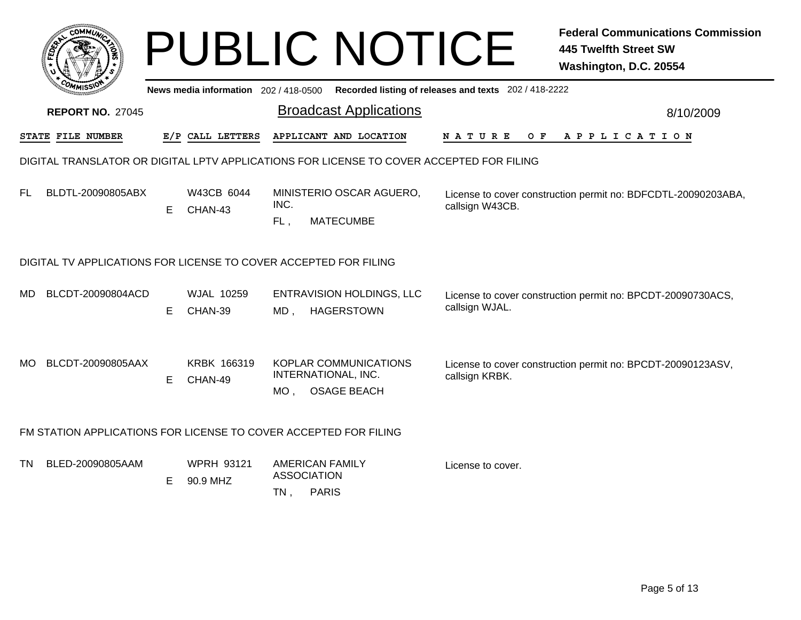|           |                                                                                          |    |                                     |                                                                     | <b>PUBLIC NOTICE</b>                                  |                                                       | <b>Federal Communications Commission</b><br><b>445 Twelfth Street SW</b><br>Washington, D.C. 20554 |  |  |  |  |  |
|-----------|------------------------------------------------------------------------------------------|----|-------------------------------------|---------------------------------------------------------------------|-------------------------------------------------------|-------------------------------------------------------|----------------------------------------------------------------------------------------------------|--|--|--|--|--|
|           |                                                                                          |    | News media information 202/418-0500 |                                                                     |                                                       | Recorded listing of releases and texts 202 / 418-2222 |                                                                                                    |  |  |  |  |  |
|           | <b>REPORT NO. 27045</b>                                                                  |    |                                     |                                                                     | <b>Broadcast Applications</b>                         |                                                       | 8/10/2009                                                                                          |  |  |  |  |  |
|           | STATE FILE NUMBER                                                                        |    | E/P CALL LETTERS                    |                                                                     | APPLICANT AND LOCATION                                | N A T U R E<br>O F                                    | A P P L I C A T I O N                                                                              |  |  |  |  |  |
|           | DIGITAL TRANSLATOR OR DIGITAL LPTV APPLICATIONS FOR LICENSE TO COVER ACCEPTED FOR FILING |    |                                     |                                                                     |                                                       |                                                       |                                                                                                    |  |  |  |  |  |
| <b>FL</b> | BLDTL-20090805ABX                                                                        | Е  | W43CB 6044<br>CHAN-43               | INC.<br>$FL$ ,                                                      | MINISTERIO OSCAR AGUERO,<br><b>MATECUMBE</b>          | callsign W43CB.                                       | License to cover construction permit no: BDFCDTL-20090203ABA,                                      |  |  |  |  |  |
|           | DIGITAL TV APPLICATIONS FOR LICENSE TO COVER ACCEPTED FOR FILING                         |    |                                     |                                                                     |                                                       |                                                       |                                                                                                    |  |  |  |  |  |
| MD.       | BLCDT-20090804ACD                                                                        | E. | <b>WJAL 10259</b><br>CHAN-39        | $MD$ .                                                              | <b>ENTRAVISION HOLDINGS, LLC</b><br><b>HAGERSTOWN</b> | callsign WJAL.                                        | License to cover construction permit no: BPCDT-20090730ACS,                                        |  |  |  |  |  |
| MO.       | BLCDT-20090805AAX                                                                        | Е  | <b>KRBK 166319</b><br>CHAN-49       | INTERNATIONAL, INC.<br>$MO$ ,                                       | KOPLAR COMMUNICATIONS<br><b>OSAGE BEACH</b>           | callsign KRBK.                                        | License to cover construction permit no: BPCDT-20090123ASV,                                        |  |  |  |  |  |
|           | FM STATION APPLICATIONS FOR LICENSE TO COVER ACCEPTED FOR FILING                         |    |                                     |                                                                     |                                                       |                                                       |                                                                                                    |  |  |  |  |  |
| TN.       | BLED-20090805AAM                                                                         | Е  | <b>WPRH 93121</b><br>90.9 MHZ       | <b>AMERICAN FAMILY</b><br><b>ASSOCIATION</b><br><b>PARIS</b><br>TN, |                                                       | License to cover.                                     |                                                                                                    |  |  |  |  |  |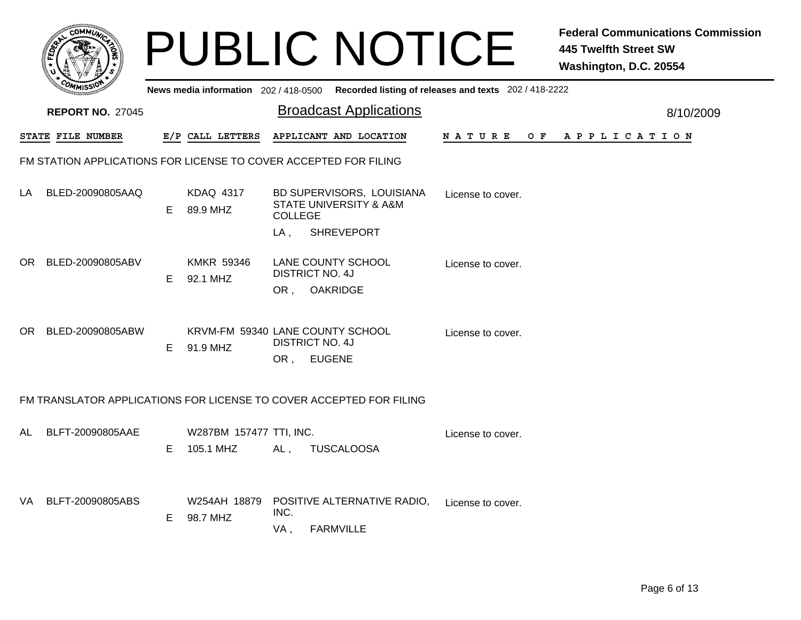|      |                                                                     |    |                               |                |                                                                    | <b>PUBLIC NOTICE</b>                                                                        | <b>Federal Communications Commission</b><br><b>445 Twelfth Street SW</b><br>Washington, D.C. 20554 |
|------|---------------------------------------------------------------------|----|-------------------------------|----------------|--------------------------------------------------------------------|---------------------------------------------------------------------------------------------|----------------------------------------------------------------------------------------------------|
|      |                                                                     |    |                               |                |                                                                    | News media information 202 / 418-0500 Recorded listing of releases and texts 202 / 418-2222 |                                                                                                    |
|      | <b>REPORT NO. 27045</b>                                             |    |                               |                | <b>Broadcast Applications</b>                                      |                                                                                             | 8/10/2009                                                                                          |
|      | STATE FILE NUMBER                                                   |    | E/P CALL LETTERS              |                | APPLICANT AND LOCATION                                             |                                                                                             | NATURE OF APPLICATION                                                                              |
|      | FM STATION APPLICATIONS FOR LICENSE TO COVER ACCEPTED FOR FILING    |    |                               |                |                                                                    |                                                                                             |                                                                                                    |
| LA.  | BLED-20090805AAQ                                                    | E. | <b>KDAQ 4317</b><br>89.9 MHZ  | <b>COLLEGE</b> | BD SUPERVISORS, LOUISIANA<br><b>STATE UNIVERSITY &amp; A&amp;M</b> | License to cover.                                                                           |                                                                                                    |
|      |                                                                     |    |                               | LA .           | <b>SHREVEPORT</b>                                                  |                                                                                             |                                                                                                    |
| OR . | BLED-20090805ABV                                                    | E. | <b>KMKR 59346</b><br>92.1 MHZ |                | <b>LANE COUNTY SCHOOL</b><br><b>DISTRICT NO. 4J</b>                | License to cover.                                                                           |                                                                                                    |
|      |                                                                     |    |                               | OR ,           | <b>OAKRIDGE</b>                                                    |                                                                                             |                                                                                                    |
| OR.  | BLED-20090805ABW                                                    | E  | 91.9 MHZ                      |                | KRVM-FM 59340 LANE COUNTY SCHOOL<br><b>DISTRICT NO. 4J</b>         | License to cover.                                                                           |                                                                                                    |
|      |                                                                     |    |                               |                | OR, EUGENE                                                         |                                                                                             |                                                                                                    |
|      | FM TRANSLATOR APPLICATIONS FOR LICENSE TO COVER ACCEPTED FOR FILING |    |                               |                |                                                                    |                                                                                             |                                                                                                    |
| AL.  | BLFT-20090805AAE                                                    |    | W287BM 157477 TTI, INC.       |                |                                                                    | License to cover.                                                                           |                                                                                                    |
|      |                                                                     | E. | 105.1 MHZ                     | AL,            | <b>TUSCALOOSA</b>                                                  |                                                                                             |                                                                                                    |
| VA - | BLFT-20090805ABS                                                    |    | W254AH 18879                  |                | POSITIVE ALTERNATIVE RADIO,                                        | License to cover.                                                                           |                                                                                                    |
|      |                                                                     | E  | 98.7 MHZ                      | INC.<br>VA,    | <b>FARMVILLE</b>                                                   |                                                                                             |                                                                                                    |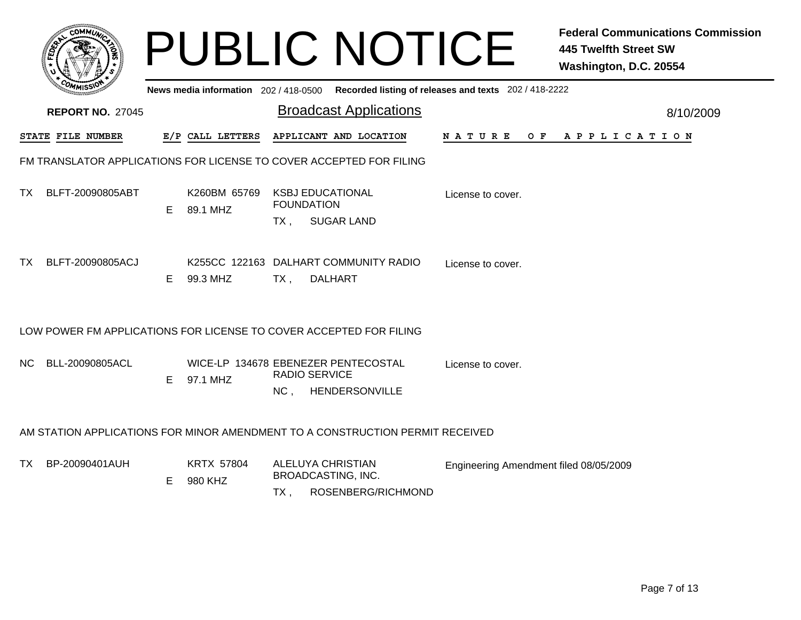|     | <b>COMMU</b>                                                       |    |                                     |                   | <b>PUBLIC NOTICE</b>                                                          |                                                       | <b>Federal Communications Commission</b><br><b>445 Twelfth Street SW</b><br>Washington, D.C. 20554 |
|-----|--------------------------------------------------------------------|----|-------------------------------------|-------------------|-------------------------------------------------------------------------------|-------------------------------------------------------|----------------------------------------------------------------------------------------------------|
|     |                                                                    |    | News media information 202/418-0500 |                   |                                                                               | Recorded listing of releases and texts 202 / 418-2222 |                                                                                                    |
|     | <b>REPORT NO. 27045</b>                                            |    |                                     |                   | <b>Broadcast Applications</b>                                                 |                                                       | 8/10/2009                                                                                          |
|     | STATE FILE NUMBER                                                  |    | E/P CALL LETTERS                    |                   | APPLICANT AND LOCATION                                                        | N A T U R E                                           | OF APPLICATION                                                                                     |
|     |                                                                    |    |                                     |                   | FM TRANSLATOR APPLICATIONS FOR LICENSE TO COVER ACCEPTED FOR FILING           |                                                       |                                                                                                    |
| TX. | BLFT-20090805ABT                                                   | E. | K260BM 65769<br>89.1 MHZ            | <b>FOUNDATION</b> | <b>KSBJ EDUCATIONAL</b>                                                       | License to cover.                                     |                                                                                                    |
|     |                                                                    |    |                                     | $TX$ ,            | <b>SUGAR LAND</b>                                                             |                                                       |                                                                                                    |
| TX. | BLFT-20090805ACJ                                                   | E  | 99.3 MHZ                            | $TX$ ,            | K255CC 122163 DALHART COMMUNITY RADIO<br><b>DALHART</b>                       | License to cover.                                     |                                                                                                    |
|     | LOW POWER FM APPLICATIONS FOR LICENSE TO COVER ACCEPTED FOR FILING |    |                                     |                   |                                                                               |                                                       |                                                                                                    |
|     |                                                                    |    |                                     |                   |                                                                               |                                                       |                                                                                                    |
| NC. | BLL-20090805ACL                                                    | E. | 97.1 MHZ                            |                   | WICE-LP 134678 EBENEZER PENTECOSTAL<br><b>RADIO SERVICE</b>                   | License to cover.                                     |                                                                                                    |
|     |                                                                    |    |                                     | NC,               | HENDERSONVILLE                                                                |                                                       |                                                                                                    |
|     |                                                                    |    |                                     |                   | AM STATION APPLICATIONS FOR MINOR AMENDMENT TO A CONSTRUCTION PERMIT RECEIVED |                                                       |                                                                                                    |
| TX. | BP-20090401AUH                                                     | Е  | <b>KRTX 57804</b><br>980 KHZ        |                   | <b>ALELUYA CHRISTIAN</b><br><b>BROADCASTING, INC.</b>                         | Engineering Amendment filed 08/05/2009                |                                                                                                    |
|     |                                                                    |    |                                     | $TX$ .            | ROSENBERG/RICHMOND                                                            |                                                       |                                                                                                    |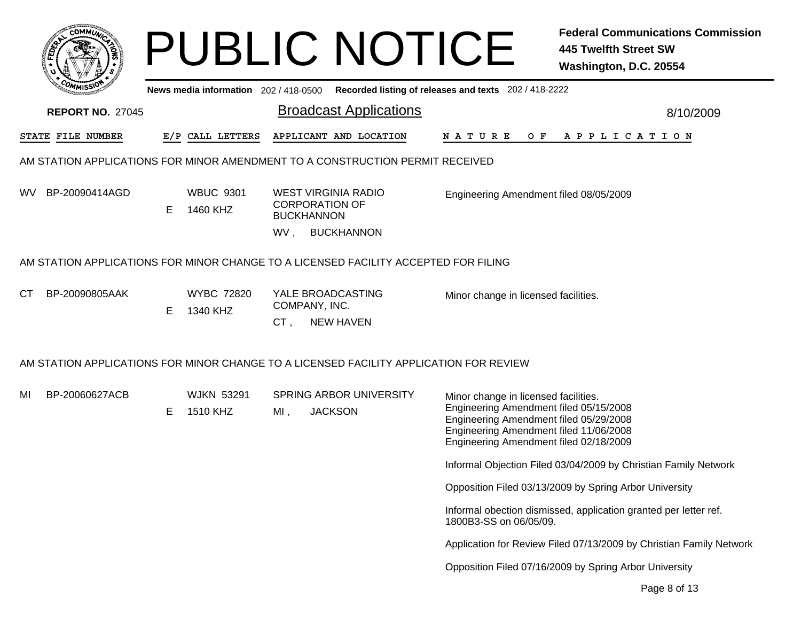| сомми                   |                                       | <b>PUBLIC NOTICE</b>                                                                   | <b>Federal Communications Commission</b><br><b>445 Twelfth Street SW</b><br>Washington, D.C. 20554                                                                                                           |
|-------------------------|---------------------------------------|----------------------------------------------------------------------------------------|--------------------------------------------------------------------------------------------------------------------------------------------------------------------------------------------------------------|
|                         | News media information 202 / 418-0500 |                                                                                        | Recorded listing of releases and texts 202 / 418-2222                                                                                                                                                        |
| <b>REPORT NO. 27045</b> |                                       | <b>Broadcast Applications</b>                                                          | 8/10/2009                                                                                                                                                                                                    |
| STATE FILE NUMBER       | E/P CALL LETTERS                      | APPLICANT AND LOCATION                                                                 | N A T U R E<br>$O$ $F$<br>A P P L I C A T I O N                                                                                                                                                              |
|                         |                                       | AM STATION APPLICATIONS FOR MINOR AMENDMENT TO A CONSTRUCTION PERMIT RECEIVED          |                                                                                                                                                                                                              |
| BP-20090414AGD<br>WV.   | <b>WBUC 9301</b><br>Е<br>1460 KHZ     | <b>WEST VIRGINIA RADIO</b><br><b>CORPORATION OF</b><br><b>BUCKHANNON</b>               | Engineering Amendment filed 08/05/2009                                                                                                                                                                       |
|                         |                                       | <b>BUCKHANNON</b><br>WV.                                                               |                                                                                                                                                                                                              |
|                         |                                       | AM STATION APPLICATIONS FOR MINOR CHANGE TO A LICENSED FACILITY ACCEPTED FOR FILING    |                                                                                                                                                                                                              |
| BP-20090805AAK<br>СT    | <b>WYBC 72820</b><br>E<br>1340 KHZ    | YALE BROADCASTING<br>COMPANY, INC.<br><b>NEW HAVEN</b><br>CT,                          | Minor change in licensed facilities.                                                                                                                                                                         |
|                         |                                       | AM STATION APPLICATIONS FOR MINOR CHANGE TO A LICENSED FACILITY APPLICATION FOR REVIEW |                                                                                                                                                                                                              |
| BP-20060627ACB<br>MI    | <b>WJKN 53291</b><br>1510 KHZ<br>E.   | <b>SPRING ARBOR UNIVERSITY</b><br><b>JACKSON</b><br>MI,                                | Minor change in licensed facilities.<br>Engineering Amendment filed 05/15/2008<br>Engineering Amendment filed 05/29/2008<br>Engineering Amendment filed 11/06/2008<br>Engineering Amendment filed 02/18/2009 |
|                         |                                       |                                                                                        | Informal Objection Filed 03/04/2009 by Christian Family Network                                                                                                                                              |
|                         |                                       |                                                                                        | Opposition Filed 03/13/2009 by Spring Arbor University                                                                                                                                                       |
|                         |                                       |                                                                                        | Informal obection dismissed, application granted per letter ref.<br>1800B3-SS on 06/05/09.                                                                                                                   |
|                         |                                       |                                                                                        | Application for Review Filed 07/13/2009 by Christian Family Network                                                                                                                                          |
|                         |                                       |                                                                                        | Opposition Filed 07/16/2009 by Spring Arbor University                                                                                                                                                       |
|                         |                                       |                                                                                        | Page 8 of 13                                                                                                                                                                                                 |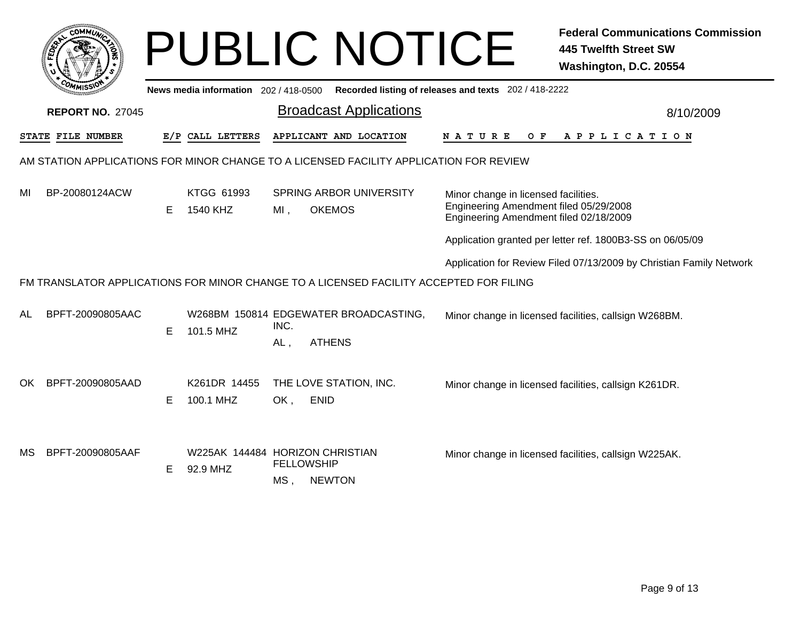|     | соммо                                                                                  |    |                                             |                          | <b>PUBLIC NOTICE</b>                                                                   |                                                                                                                          | <b>Federal Communications Commission</b><br><b>445 Twelfth Street SW</b><br>Washington, D.C. 20554 |  |  |  |  |
|-----|----------------------------------------------------------------------------------------|----|---------------------------------------------|--------------------------|----------------------------------------------------------------------------------------|--------------------------------------------------------------------------------------------------------------------------|----------------------------------------------------------------------------------------------------|--|--|--|--|
|     |                                                                                        |    | News media information 202 / 418-0500       |                          |                                                                                        | Recorded listing of releases and texts 202 / 418-2222                                                                    |                                                                                                    |  |  |  |  |
|     | <b>REPORT NO. 27045</b>                                                                |    |                                             |                          | <b>Broadcast Applications</b>                                                          |                                                                                                                          | 8/10/2009                                                                                          |  |  |  |  |
|     | STATE FILE NUMBER                                                                      |    | E/P CALL LETTERS                            |                          | APPLICANT AND LOCATION                                                                 | N A T U R E<br>O F                                                                                                       | APPLICATION                                                                                        |  |  |  |  |
|     | AM STATION APPLICATIONS FOR MINOR CHANGE TO A LICENSED FACILITY APPLICATION FOR REVIEW |    |                                             |                          |                                                                                        |                                                                                                                          |                                                                                                    |  |  |  |  |
| MI  | BP-20080124ACW                                                                         | Е  | KTGG 61993<br>1540 KHZ                      | $MI$ ,                   | <b>SPRING ARBOR UNIVERSITY</b><br><b>OKEMOS</b>                                        | Minor change in licensed facilities.<br>Engineering Amendment filed 05/29/2008<br>Engineering Amendment filed 02/18/2009 |                                                                                                    |  |  |  |  |
|     |                                                                                        |    |                                             |                          |                                                                                        |                                                                                                                          | Application granted per letter ref. 1800B3-SS on 06/05/09                                          |  |  |  |  |
|     |                                                                                        |    |                                             |                          |                                                                                        |                                                                                                                          | Application for Review Filed 07/13/2009 by Christian Family Network                                |  |  |  |  |
|     |                                                                                        |    |                                             |                          | FM TRANSLATOR APPLICATIONS FOR MINOR CHANGE TO A LICENSED FACILITY ACCEPTED FOR FILING |                                                                                                                          |                                                                                                    |  |  |  |  |
| AL  | BPFT-20090805AAC                                                                       | E. | 101.5 MHZ                                   | INC.<br>AL,              | W268BM 150814 EDGEWATER BROADCASTING,<br><b>ATHENS</b>                                 |                                                                                                                          | Minor change in licensed facilities, callsign W268BM.                                              |  |  |  |  |
| OK. | BPFT-20090805AAD                                                                       | E. | K261DR 14455<br>100.1 MHZ                   | OK,                      | THE LOVE STATION, INC.<br><b>ENID</b>                                                  |                                                                                                                          | Minor change in licensed facilities, callsign K261DR.                                              |  |  |  |  |
| МS  | BPFT-20090805AAF                                                                       | Е  | W225AK 144484 HORIZON CHRISTIAN<br>92.9 MHZ | <b>FELLOWSHIP</b><br>MS. | <b>NEWTON</b>                                                                          |                                                                                                                          | Minor change in licensed facilities, callsign W225AK.                                              |  |  |  |  |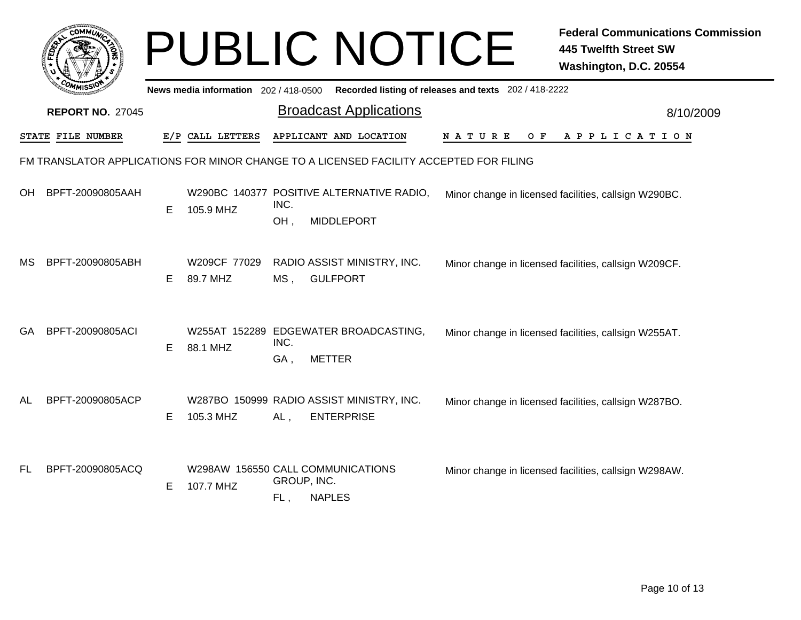|     |                          |    |                                                |                    | <b>PUBLIC NOTICE</b>                                                                   |                                                       | <b>Federal Communications Commission</b><br><b>445 Twelfth Street SW</b><br>Washington, D.C. 20554 |
|-----|--------------------------|----|------------------------------------------------|--------------------|----------------------------------------------------------------------------------------|-------------------------------------------------------|----------------------------------------------------------------------------------------------------|
|     |                          |    | News media information 202/418-0500            |                    |                                                                                        | Recorded listing of releases and texts 202 / 418-2222 |                                                                                                    |
|     | <b>REPORT NO. 27045</b>  |    |                                                |                    | <b>Broadcast Applications</b>                                                          |                                                       | 8/10/2009                                                                                          |
|     | <b>STATE FILE NUMBER</b> |    | E/P CALL LETTERS                               |                    | APPLICANT AND LOCATION                                                                 | N A T U R E<br>O F                                    | APPLICATION                                                                                        |
|     |                          |    |                                                |                    | FM TRANSLATOR APPLICATIONS FOR MINOR CHANGE TO A LICENSED FACILITY ACCEPTED FOR FILING |                                                       |                                                                                                    |
| OH  | BPFT-20090805AAH         | E. | 105.9 MHZ                                      | INC.               | W290BC 140377 POSITIVE ALTERNATIVE RADIO,                                              |                                                       | Minor change in licensed facilities, callsign W290BC.                                              |
|     |                          |    |                                                | OH,                | <b>MIDDLEPORT</b>                                                                      |                                                       |                                                                                                    |
| МS  | BPFT-20090805ABH         | E. | W209CF 77029<br>89.7 MHZ                       | $MS$ .             | RADIO ASSIST MINISTRY, INC.<br><b>GULFPORT</b>                                         |                                                       | Minor change in licensed facilities, callsign W209CF.                                              |
| GA  | BPFT-20090805ACI         | E. | 88.1 MHZ                                       | INC.<br>GA,        | W255AT 152289 EDGEWATER BROADCASTING,<br><b>METTER</b>                                 |                                                       | Minor change in licensed facilities, callsign W255AT.                                              |
| AL  | BPFT-20090805ACP         | E  | 105.3 MHZ                                      | AL,                | W287BO 150999 RADIO ASSIST MINISTRY, INC.<br><b>ENTERPRISE</b>                         |                                                       | Minor change in licensed facilities, callsign W287BO.                                              |
| FL. | BPFT-20090805ACQ         | Е  | W298AW 156550 CALL COMMUNICATIONS<br>107.7 MHZ | GROUP, INC.<br>FL, | <b>NAPLES</b>                                                                          |                                                       | Minor change in licensed facilities, callsign W298AW.                                              |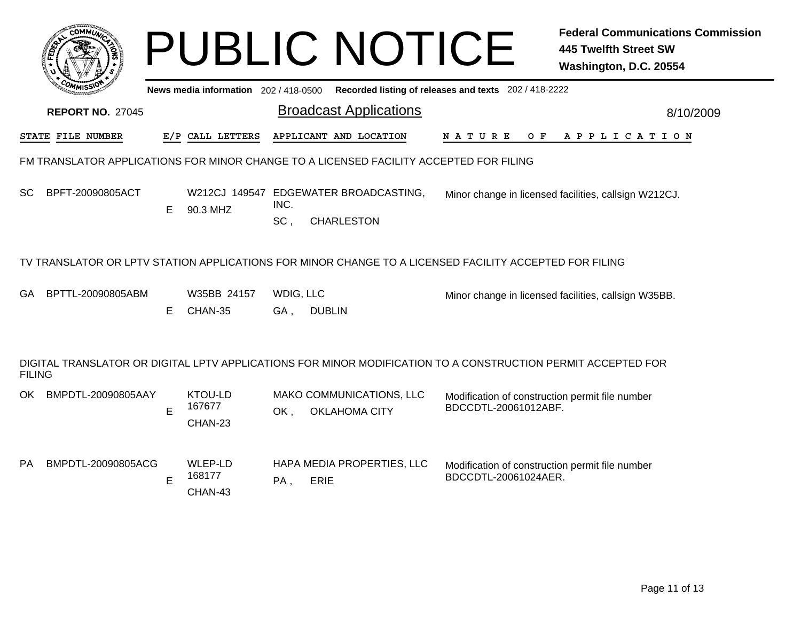|               |                                                                                        |    |                                     |                                               | <b>PUBLIC NOTICE</b>                                                                                                    |                                                                         | <b>Federal Communications Commission</b><br><b>445 Twelfth Street SW</b><br>Washington, D.C. 20554 |  |  |  |  |
|---------------|----------------------------------------------------------------------------------------|----|-------------------------------------|-----------------------------------------------|-------------------------------------------------------------------------------------------------------------------------|-------------------------------------------------------------------------|----------------------------------------------------------------------------------------------------|--|--|--|--|
|               |                                                                                        |    | News media information 202/418-0500 |                                               |                                                                                                                         | Recorded listing of releases and texts 202 / 418-2222                   |                                                                                                    |  |  |  |  |
|               | <b>REPORT NO. 27045</b>                                                                |    |                                     |                                               | <b>Broadcast Applications</b>                                                                                           |                                                                         | 8/10/2009                                                                                          |  |  |  |  |
|               | STATE FILE NUMBER                                                                      |    | E/P CALL LETTERS                    |                                               | APPLICANT AND LOCATION                                                                                                  | O F<br>N A T U R E                                                      | A P P L I C A T I O N                                                                              |  |  |  |  |
|               | FM TRANSLATOR APPLICATIONS FOR MINOR CHANGE TO A LICENSED FACILITY ACCEPTED FOR FILING |    |                                     |                                               |                                                                                                                         |                                                                         |                                                                                                    |  |  |  |  |
| SC            | BPFT-20090805ACT                                                                       | E. | 90.3 MHZ                            | W212CJ 149547 EDGEWATER BROADCASTING,<br>INC. |                                                                                                                         |                                                                         | Minor change in licensed facilities, callsign W212CJ.                                              |  |  |  |  |
|               |                                                                                        |    |                                     | SC,                                           | <b>CHARLESTON</b>                                                                                                       |                                                                         |                                                                                                    |  |  |  |  |
| GA            | BPTTL-20090805ABM                                                                      | E. | W35BB 24157<br>CHAN-35              | WDIG, LLC<br>GA,                              | TV TRANSLATOR OR LPTV STATION APPLICATIONS FOR MINOR CHANGE TO A LICENSED FACILITY ACCEPTED FOR FILING<br><b>DUBLIN</b> |                                                                         | Minor change in licensed facilities, callsign W35BB.                                               |  |  |  |  |
| <b>FILING</b> |                                                                                        |    |                                     |                                               | DIGITAL TRANSLATOR OR DIGITAL LPTV APPLICATIONS FOR MINOR MODIFICATION TO A CONSTRUCTION PERMIT ACCEPTED FOR            |                                                                         |                                                                                                    |  |  |  |  |
| OK            | BMPDTL-20090805AAY                                                                     | E  | KTOU-LD<br>167677<br>CHAN-23        | OK,                                           | MAKO COMMUNICATIONS, LLC<br><b>OKLAHOMA CITY</b>                                                                        | Modification of construction permit file number<br>BDCCDTL-20061012ABF. |                                                                                                    |  |  |  |  |
| <b>PA</b>     | BMPDTL-20090805ACG                                                                     | E  | WLEP-LD<br>168177<br>CHAN-43        | PA,                                           | HAPA MEDIA PROPERTIES, LLC<br>ERIE                                                                                      | Modification of construction permit file number<br>BDCCDTL-20061024AER. |                                                                                                    |  |  |  |  |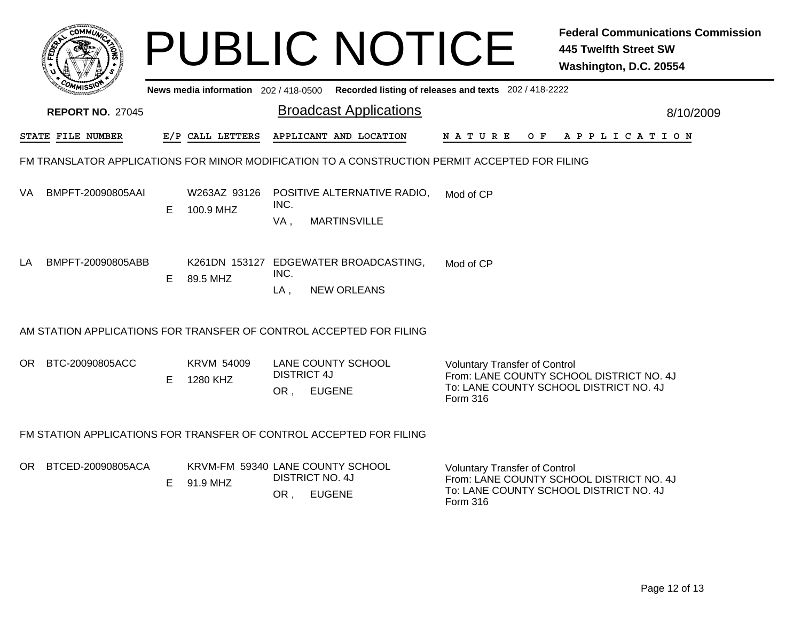|     |                         |    |                                       |                           | <b>PUBLIC NOTICE</b>                                                                           |                                                                                            | <b>Federal Communications Commission</b><br><b>445 Twelfth Street SW</b><br>Washington, D.C. 20554 |
|-----|-------------------------|----|---------------------------------------|---------------------------|------------------------------------------------------------------------------------------------|--------------------------------------------------------------------------------------------|----------------------------------------------------------------------------------------------------|
|     |                         |    | News media information $202/418-0500$ |                           |                                                                                                | Recorded listing of releases and texts 202 / 418-2222                                      |                                                                                                    |
|     | <b>REPORT NO. 27045</b> |    |                                       |                           | <b>Broadcast Applications</b>                                                                  |                                                                                            | 8/10/2009                                                                                          |
|     | STATE FILE NUMBER       |    | E/P CALL LETTERS                      |                           | APPLICANT AND LOCATION                                                                         | N A T U R E<br>O F                                                                         | A P P L I C A T I O N                                                                              |
|     |                         |    |                                       |                           | FM TRANSLATOR APPLICATIONS FOR MINOR MODIFICATION TO A CONSTRUCTION PERMIT ACCEPTED FOR FILING |                                                                                            |                                                                                                    |
| VA. | BMPFT-20090805AAI       | E. | W263AZ 93126<br>100.9 MHZ             | INC.<br>VA,               | POSITIVE ALTERNATIVE RADIO,<br><b>MARTINSVILLE</b>                                             | Mod of CP                                                                                  |                                                                                                    |
| LA  | BMPFT-20090805ABB       | E. | 89.5 MHZ                              | INC.<br>$LA$ ,            | K261DN 153127 EDGEWATER BROADCASTING,<br><b>NEW ORLEANS</b>                                    | Mod of CP                                                                                  |                                                                                                    |
|     |                         |    |                                       |                           | AM STATION APPLICATIONS FOR TRANSFER OF CONTROL ACCEPTED FOR FILING                            |                                                                                            |                                                                                                    |
| OR. | BTC-20090805ACC         | E. | <b>KRVM 54009</b><br>1280 KHZ         | <b>DISTRICT 4J</b><br>OR, | <b>LANE COUNTY SCHOOL</b><br><b>EUGENE</b>                                                     | <b>Voluntary Transfer of Control</b><br>To: LANE COUNTY SCHOOL DISTRICT NO. 4J<br>Form 316 | From: LANE COUNTY SCHOOL DISTRICT NO. 4J                                                           |
|     |                         |    |                                       |                           | FM STATION APPLICATIONS FOR TRANSFER OF CONTROL ACCEPTED FOR FILING                            |                                                                                            |                                                                                                    |
|     | OR BTCED-20090805ACA    | E. | 91.9 MHZ                              | OR,                       | KRVM-FM 59340 LANE COUNTY SCHOOL<br><b>DISTRICT NO. 4J</b><br><b>EUGENE</b>                    | <b>Voluntary Transfer of Control</b><br>To: LANE COUNTY SCHOOL DISTRICT NO. 4J<br>Form 316 | From: LANE COUNTY SCHOOL DISTRICT NO. 4J                                                           |